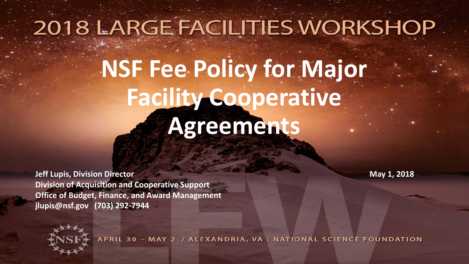## 2018 LARGE FACILITIES WORKSHOP

# **NSF Fee Policy for Major Facility Cooperative Agreements**

**Jeff Lupis, Division Director** May 1, 2018 **Division of Acquisition and Cooperative Support Office of Budget, Finance, and Award Management jlupis@nsf.gov (703) 292-7944** 



APRIL 30 - MAY 2 / ALEXANDRIA, VA / NATIONAL SCIENCE FOUNDATION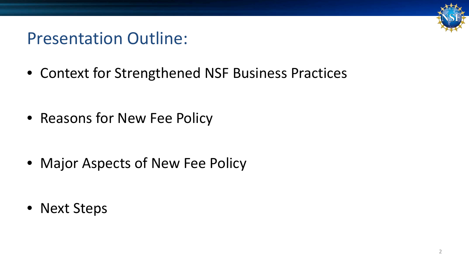#### Presentation Outline:

• Context for Strengthened NSF Business Practices

• Reasons for New Fee Policy

• Major Aspects of New Fee Policy

• Next Steps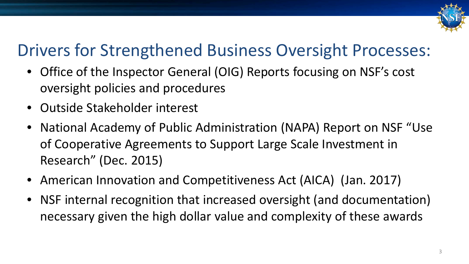

#### Drivers for Strengthened Business Oversight Processes:

- Office of the Inspector General (OIG) Reports focusing on NSF's cost oversight policies and procedures
- Outside Stakeholder interest
- National Academy of Public Administration (NAPA) Report on NSF "Use of Cooperative Agreements to Support Large Scale Investment in Research" (Dec. 2015)
- American Innovation and Competitiveness Act (AICA) (Jan. 2017)
- NSF internal recognition that increased oversight (and documentation) necessary given the high dollar value and complexity of these awards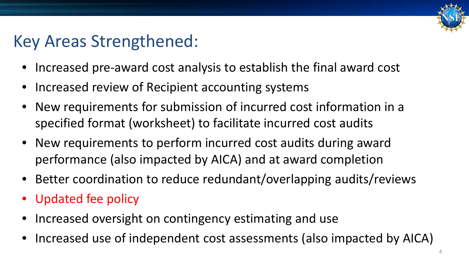

#### Key Areas Strengthened:

- Increased pre-award cost analysis to establish the final award cost
- Increased review of Recipient accounting systems
- New requirements for submission of incurred cost information in a specified format (worksheet) to facilitate incurred cost audits
- New requirements to perform incurred cost audits during award performance (also impacted by AICA) and at award completion
- Better coordination to reduce redundant/overlapping audits/reviews
- Updated fee policy
- Increased oversight on contingency estimating and use
- Increased use of independent cost assessments (also impacted by AICA)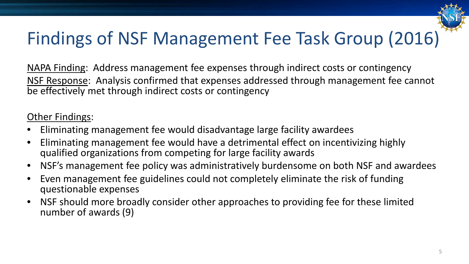

#### Findings of NSF Management Fee Task Group (2016)

NAPA Finding: Address management fee expenses through indirect costs or contingency NSF Response: Analysis confirmed that expenses addressed through management fee cannot be effectively met through indirect costs or contingency

#### Other Findings:

- Eliminating management fee would disadvantage large facility awardees
- Eliminating management fee would have a detrimental effect on incentivizing highly qualified organizations from competing for large facility awards
- NSF's management fee policy was administratively burdensome on both NSF and awardees
- Even management fee guidelines could not completely eliminate the risk of funding questionable expenses
- NSF should more broadly consider other approaches to providing fee for these limited number of awards (9)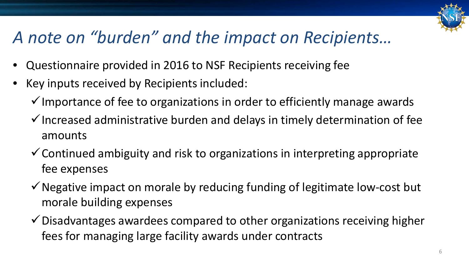

#### *A note on "burden" and the impact on Recipients…*

- Questionnaire provided in 2016 to NSF Recipients receiving fee
- Key inputs received by Recipients included:
	- $\checkmark$  Importance of fee to organizations in order to efficiently manage awards
	- $\checkmark$  Increased administrative burden and delays in timely determination of fee amounts
	- $\checkmark$  Continued ambiguity and risk to organizations in interpreting appropriate fee expenses
	- $\checkmark$  Negative impact on morale by reducing funding of legitimate low-cost but morale building expenses
	- $\checkmark$  Disadvantages awardees compared to other organizations receiving higher fees for managing large facility awards under contracts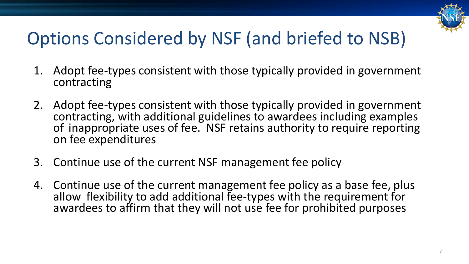

#### Options Considered by NSF (and briefed to NSB)

- 1. Adopt fee-types consistent with those typically provided in government contracting
- 2. Adopt fee-types consistent with those typically provided in government contracting, with additional guidelines to awardees including examples of inappropriate uses of fee. NSF retains authority to require reporting on fee expenditures
- 3. Continue use of the current NSF management fee policy
- 4. Continue use of the current management fee policy as a base fee, plus allow flexibility to add additional fee-types with the requirement for awardees to affirm that they will not use fee for prohibited purposes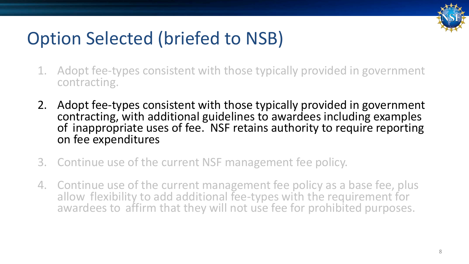

#### Option Selected (briefed to NSB)

- 1. Adopt fee-types consistent with those typically provided in government contracting.
- 2. Adopt fee-types consistent with those typically provided in government contracting, with additional guidelines to awardees including examples of inappropriate uses of fee. NSF retains authority to require reporting on fee expenditures
- 3. Continue use of the current NSF management fee policy.
- 4. Continue use of the current management fee policy as a base fee, plus allow flexibility to add additional fee-types with the requirement for awardees to affirm that they will not use fee for prohibited purposes.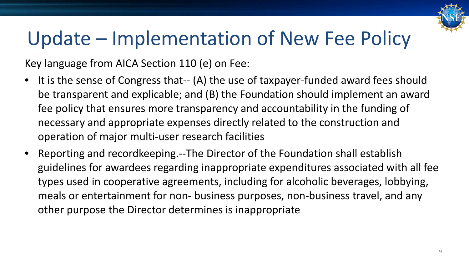

Key language from AICA Section 110 (e) on Fee:

- It is the sense of Congress that-- (A) the use of taxpayer-funded award fees should be transparent and explicable; and (B) the Foundation should implement an award fee policy that ensures more transparency and accountability in the funding of necessary and appropriate expenses directly related to the construction and operation of major multi-user research facilities
- Reporting and recordkeeping.--The Director of the Foundation shall establish guidelines for awardees regarding inappropriate expenditures associated with all fee types used in cooperative agreements, including for alcoholic beverages, lobbying, meals or entertainment for non- business purposes, non-business travel, and any other purpose the Director determines is inappropriate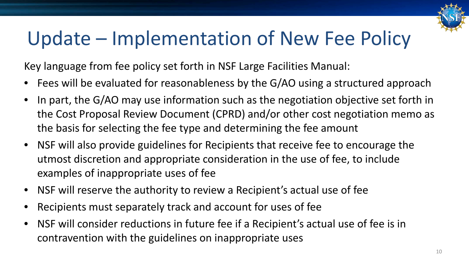

Key language from fee policy set forth in NSF Large Facilities Manual:

- Fees will be evaluated for reasonableness by the G/AO using a structured approach
- In part, the G/AO may use information such as the negotiation objective set forth in the Cost Proposal Review Document (CPRD) and/or other cost negotiation memo as the basis for selecting the fee type and determining the fee amount
- NSF will also provide guidelines for Recipients that receive fee to encourage the utmost discretion and appropriate consideration in the use of fee, to include examples of inappropriate uses of fee
- NSF will reserve the authority to review a Recipient's actual use of fee
- Recipients must separately track and account for uses of fee
- NSF will consider reductions in future fee if a Recipient's actual use of fee is in contravention with the guidelines on inappropriate uses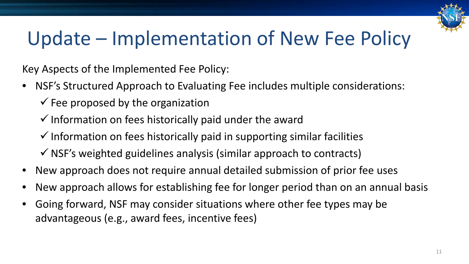

Key Aspects of the Implemented Fee Policy:

- NSF's Structured Approach to Evaluating Fee includes multiple considerations:
	- $\checkmark$  Fee proposed by the organization
	- $\checkmark$  Information on fees historically paid under the award
	- $\checkmark$  Information on fees historically paid in supporting similar facilities
	- $\checkmark$  NSF's weighted guidelines analysis (similar approach to contracts)
- New approach does not require annual detailed submission of prior fee uses
- New approach allows for establishing fee for longer period than on an annual basis
- Going forward, NSF may consider situations where other fee types may be advantageous (e.g., award fees, incentive fees)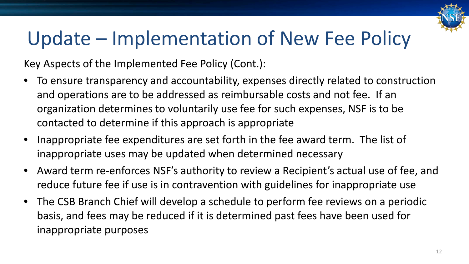

Key Aspects of the Implemented Fee Policy (Cont.):

- To ensure transparency and accountability, expenses directly related to construction and operations are to be addressed as reimbursable costs and not fee. If an organization determines to voluntarily use fee for such expenses, NSF is to be contacted to determine if this approach is appropriate
- Inappropriate fee expenditures are set forth in the fee award term. The list of inappropriate uses may be updated when determined necessary
- Award term re-enforces NSF's authority to review a Recipient's actual use of fee, and reduce future fee if use is in contravention with guidelines for inappropriate use
- The CSB Branch Chief will develop a schedule to perform fee reviews on a periodic basis, and fees may be reduced if it is determined past fees have been used for inappropriate purposes